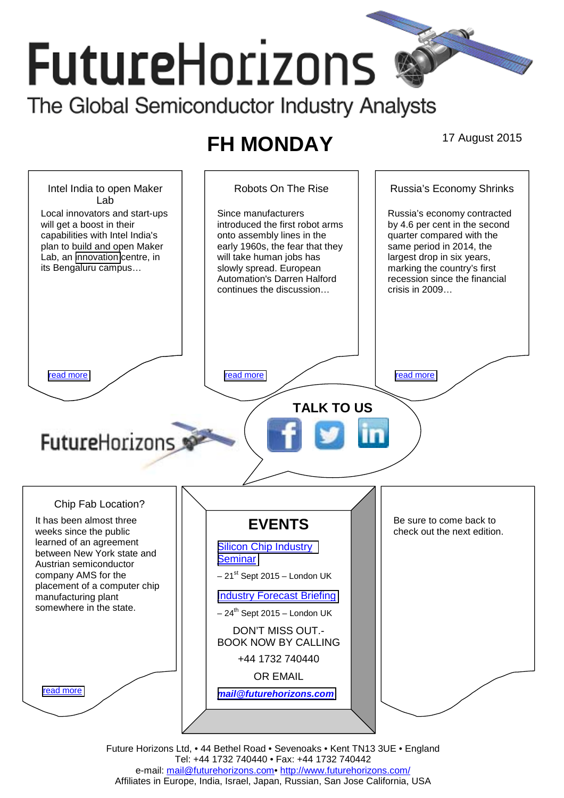# **Future**Horizons The Global Semiconductor Industry Analysts

## **FH MONDAY** 17 August 2015



Future Horizons Ltd, • 44 Bethel Road • Sevenoaks • Kent TN13 3UE • England Tel: +44 1732 740440 • Fax: +44 1732 740442 e-mail: mail@futurehorizons.com• http://www.futurehorizons.com/ Affiliates in Europe, India, Israel, Japan, Russian, San Jose California, USA